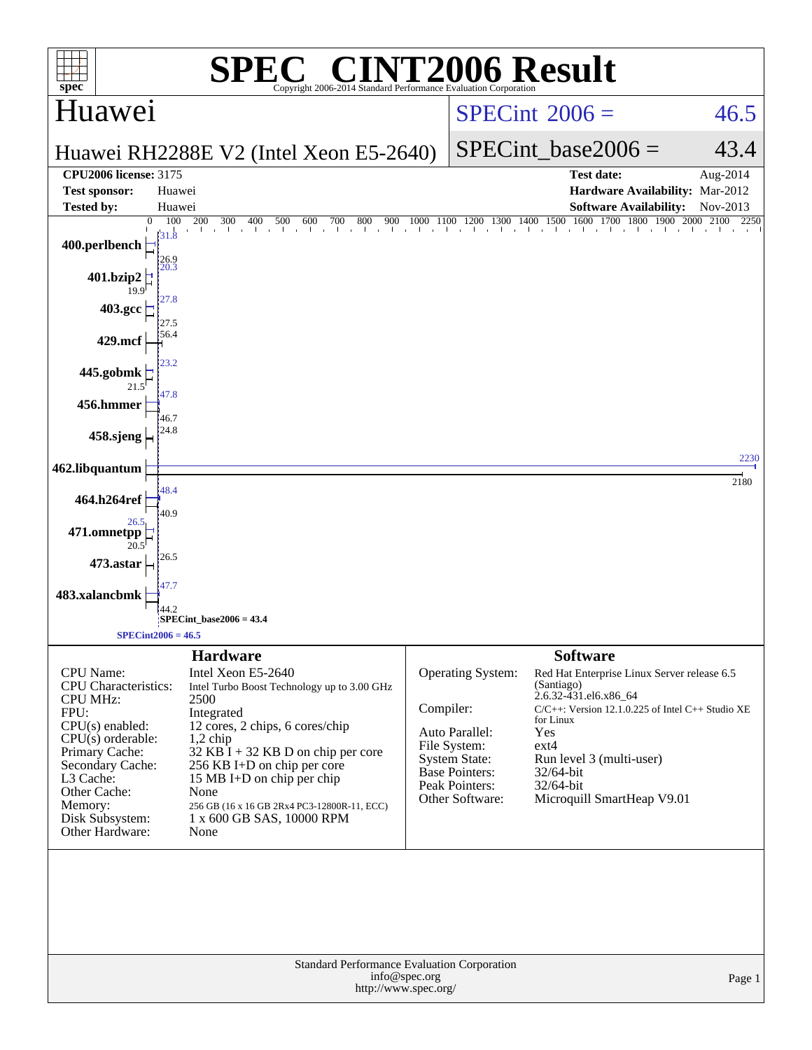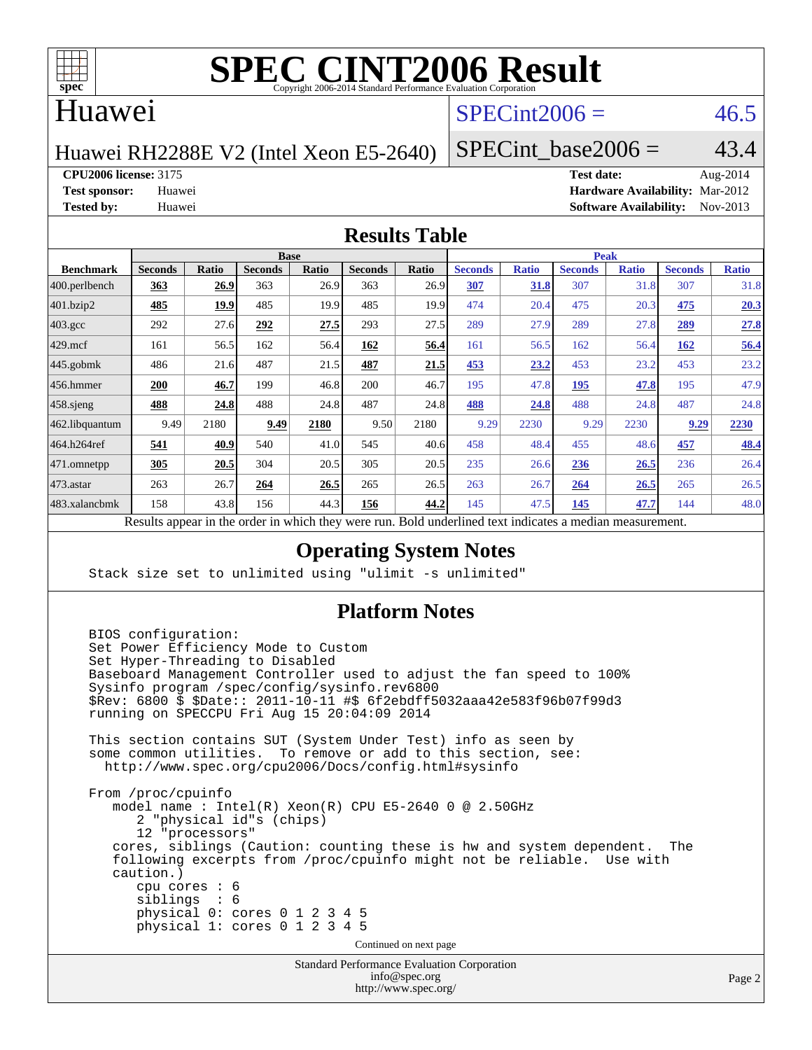

## Huawei

# $SPECint2006 = 46.5$  $SPECint2006 = 46.5$

Huawei RH2288E V2 (Intel Xeon E5-2640)

SPECint base2006 =  $43.4$ 

**[CPU2006 license:](http://www.spec.org/auto/cpu2006/Docs/result-fields.html#CPU2006license)** 3175 **[Test date:](http://www.spec.org/auto/cpu2006/Docs/result-fields.html#Testdate)** Aug-2014

**[Test sponsor:](http://www.spec.org/auto/cpu2006/Docs/result-fields.html#Testsponsor)** Huawei **[Hardware Availability:](http://www.spec.org/auto/cpu2006/Docs/result-fields.html#HardwareAvailability)** Mar-2012 **[Tested by:](http://www.spec.org/auto/cpu2006/Docs/result-fields.html#Testedby)** Huawei **[Software Availability:](http://www.spec.org/auto/cpu2006/Docs/result-fields.html#SoftwareAvailability)** Nov-2013

#### **[Results Table](http://www.spec.org/auto/cpu2006/Docs/result-fields.html#ResultsTable)**

| <b>Base</b>    |       |                |       |                |       | <b>Peak</b>    |              |                                      |              |                |              |
|----------------|-------|----------------|-------|----------------|-------|----------------|--------------|--------------------------------------|--------------|----------------|--------------|
| <b>Seconds</b> | Ratio | <b>Seconds</b> | Ratio | <b>Seconds</b> | Ratio | <b>Seconds</b> | <b>Ratio</b> | <b>Seconds</b>                       | <b>Ratio</b> | <b>Seconds</b> | <b>Ratio</b> |
| 363            | 26.9  | 363            | 26.9  | 363            | 26.9  | 307            | 31.8         | 307                                  | 31.8         | 307            | 31.8         |
| 485            | 19.9  | 485            | 19.9  | 485            | 19.9  | 474            |              | 475                                  | 20.3         | 475            | 20.3         |
| 292            | 27.6  | 292            | 27.5  | 293            | 27.5  | 289            | 27.9         | 289                                  | 27.8         | 289            | 27.8         |
| 161            | 56.5  | 162            | 56.4  | 162            | 56.4  | 161            |              | 162                                  | 56.4         | 162            | 56.4         |
| 486            | 21.6  | 487            | 21.5  | 487            | 21.5  | 453            | 23.2         | 453                                  | 23.2         | 453            | 23.2         |
| 200            | 46.7  | 199            | 46.8  | 200            | 46.7  | 195            |              | <u>195</u>                           | 47.8         | 195            | 47.9         |
| 488            | 24.8  | 488            | 24.8  | 487            |       | 488            | 24.8         | 488                                  | 24.8         | 487            | 24.8         |
| 9.49           | 2180  | 9.49           | 2180  | 9.50           | 2180  | 9.29           | 2230         | 9.29                                 | 2230         | 9.29           | 2230         |
| 541            | 40.9  | 540            | 41.0  | 545            | 40.6  | 458            |              | 455                                  |              | 457            | 48.4         |
| 305            | 20.5  | 304            | 20.5  | 305            | 20.5  | 235            |              | 236                                  | 26.5         | 236            | 26.4         |
| 263            | 26.7  | 264            | 26.5  | 265            | 26.5  | 263            | 26.7         | 264                                  | 26.5         | 265            | 26.5         |
| 158            | 43.8  | 156            | 44.3  | 156            | 44.2  | 145            |              | 145                                  | 47.7         | 144            | 48.0         |
|                |       |                |       |                |       |                | 24.8         | 20.4<br>56.5<br>47.8<br>48.4<br>47.5 | 26.6         |                | 48.6         |

Results appear in the [order in which they were run.](http://www.spec.org/auto/cpu2006/Docs/result-fields.html#RunOrder) Bold underlined text [indicates a median measurement.](http://www.spec.org/auto/cpu2006/Docs/result-fields.html#Median)

### **[Operating System Notes](http://www.spec.org/auto/cpu2006/Docs/result-fields.html#OperatingSystemNotes)**

Stack size set to unlimited using "ulimit -s unlimited"

#### **[Platform Notes](http://www.spec.org/auto/cpu2006/Docs/result-fields.html#PlatformNotes)**

```
 BIOS configuration:
Set Power Efficiency Mode to Custom
Set Hyper-Threading to Disabled
Baseboard Management Controller used to adjust the fan speed to 100%
Sysinfo program /spec/config/sysinfo.rev6800
$Rev: 6800 $ $Date:: 2011-10-11 #$ 6f2ebdff5032aaa42e583f96b07f99d3
running on SPECCPU Fri Aug 15 20:04:09 2014
This section contains SUT (System Under Test) info as seen by
some common utilities. To remove or add to this section, see:
 http://www.spec.org/cpu2006/Docs/config.html#sysinfo
From /proc/cpuinfo
   model name : Intel(R) Xeon(R) CPU E5-2640 0 @ 2.50GHz
      2 "physical id"s (chips)
      12 "processors"
   cores, siblings (Caution: counting these is hw and system dependent. The
   following excerpts from /proc/cpuinfo might not be reliable. Use with
   caution.)
      cpu cores : 6
      siblings : 6
      physical 0: cores 0 1 2 3 4 5
      physical 1: cores 0 1 2 3 4 5
                                  Continued on next page
```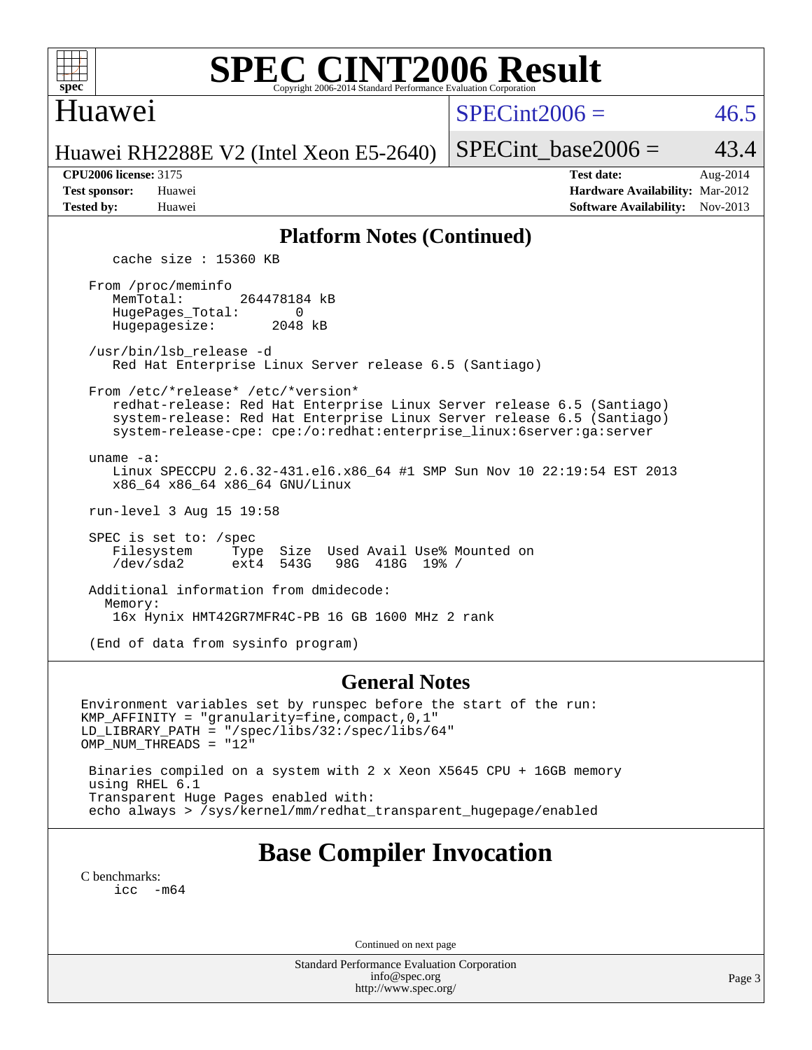

### Huawei

 $SPECint2006 = 46.5$  $SPECint2006 = 46.5$ 

Huawei RH2288E V2 (Intel Xeon E5-2640)

SPECint base2006 =  $43.4$ 

| <b>Test sponsor:</b> | Huawei |
|----------------------|--------|
| <b>Tested by:</b>    | Huawei |

**[CPU2006 license:](http://www.spec.org/auto/cpu2006/Docs/result-fields.html#CPU2006license)** 3175 **[Test date:](http://www.spec.org/auto/cpu2006/Docs/result-fields.html#Testdate)** Aug-2014 **[Hardware Availability:](http://www.spec.org/auto/cpu2006/Docs/result-fields.html#HardwareAvailability)** Mar-2012 **[Software Availability:](http://www.spec.org/auto/cpu2006/Docs/result-fields.html#SoftwareAvailability)** Nov-2013

### **[Platform Notes \(Continued\)](http://www.spec.org/auto/cpu2006/Docs/result-fields.html#PlatformNotes)**

cache size : 15360 KB

 From /proc/meminfo MemTotal: 264478184 kB HugePages\_Total: 0<br>Hugepagesize: 2048 kB Hugepagesize:

 /usr/bin/lsb\_release -d Red Hat Enterprise Linux Server release 6.5 (Santiago)

 From /etc/\*release\* /etc/\*version\* redhat-release: Red Hat Enterprise Linux Server release 6.5 (Santiago) system-release: Red Hat Enterprise Linux Server release 6.5 (Santiago)

 system-release-cpe: cpe:/o:redhat:enterprise\_linux:6server:ga:server uname -a:

 Linux SPECCPU 2.6.32-431.el6.x86\_64 #1 SMP Sun Nov 10 22:19:54 EST 2013 x86\_64 x86\_64 x86\_64 GNU/Linux

run-level 3 Aug 15 19:58

SPEC is set to: /spec<br>Filesystem Type Type Size Used Avail Use% Mounted on<br>ext4 543G 98G 418G 19% / /dev/sda2 ext4 543G 98G 418G 19% /

 Additional information from dmidecode: Memory: 16x Hynix HMT42GR7MFR4C-PB 16 GB 1600 MHz 2 rank

(End of data from sysinfo program)

#### **[General Notes](http://www.spec.org/auto/cpu2006/Docs/result-fields.html#GeneralNotes)**

Environment variables set by runspec before the start of the run: KMP\_AFFINITY = "granularity=fine,compact,0,1" LD\_LIBRARY\_PATH = "/spec/libs/32:/spec/libs/64" OMP\_NUM\_THREADS = "12" Binaries compiled on a system with 2 x Xeon X5645 CPU + 16GB memory

 using RHEL 6.1 Transparent Huge Pages enabled with: echo always > /sys/kernel/mm/redhat\_transparent\_hugepage/enabled

# **[Base Compiler Invocation](http://www.spec.org/auto/cpu2006/Docs/result-fields.html#BaseCompilerInvocation)**

[C benchmarks](http://www.spec.org/auto/cpu2006/Docs/result-fields.html#Cbenchmarks):  $\text{icc}$  -m64

Continued on next page

Standard Performance Evaluation Corporation [info@spec.org](mailto:info@spec.org) <http://www.spec.org/>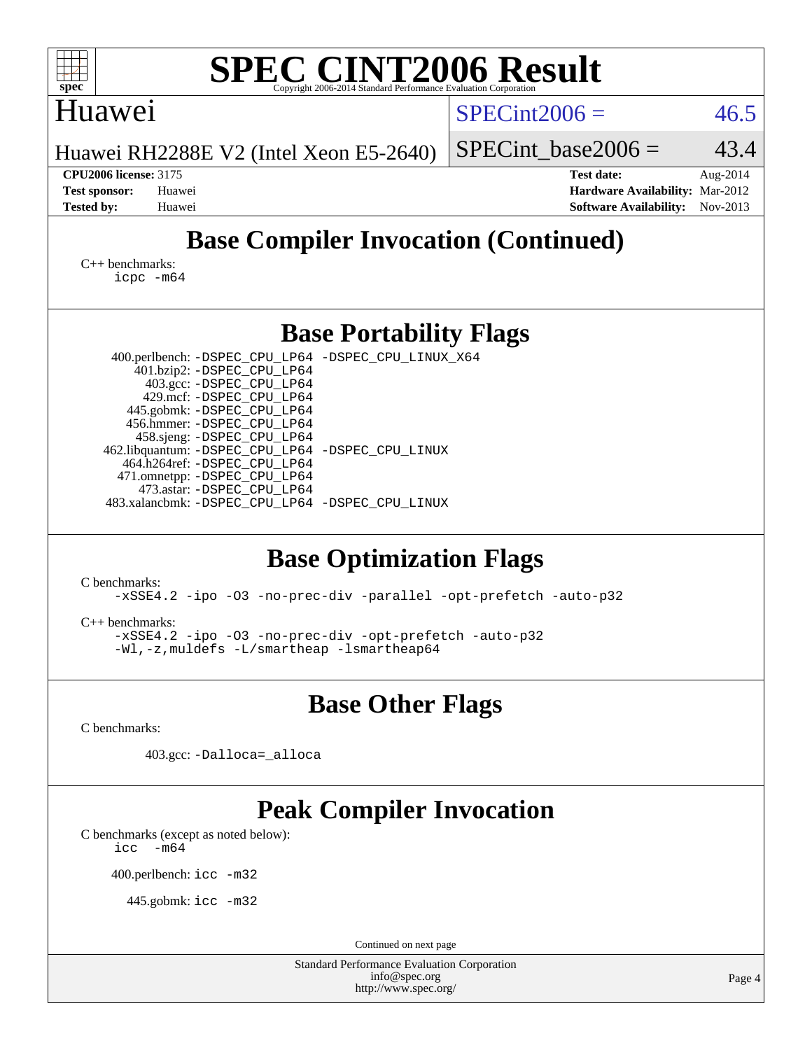| <b>SPEC CINT2006 Result</b><br>$spec^*$<br>Copyright 2006-2014 Standard Performance Evalua                                                                                                                                                                                                                                                                                                                                                 |                                                                                                               |  |  |  |  |  |  |
|--------------------------------------------------------------------------------------------------------------------------------------------------------------------------------------------------------------------------------------------------------------------------------------------------------------------------------------------------------------------------------------------------------------------------------------------|---------------------------------------------------------------------------------------------------------------|--|--|--|--|--|--|
| Huawei                                                                                                                                                                                                                                                                                                                                                                                                                                     | $SPECint2006 =$<br>46.5                                                                                       |  |  |  |  |  |  |
| Huawei RH2288E V2 (Intel Xeon E5-2640)                                                                                                                                                                                                                                                                                                                                                                                                     | 43.4<br>$SPECint$ base2006 =                                                                                  |  |  |  |  |  |  |
| <b>CPU2006 license: 3175</b><br><b>Test sponsor:</b><br>Huawei<br><b>Tested by:</b><br>Huawei                                                                                                                                                                                                                                                                                                                                              | <b>Test date:</b><br>Aug-2014<br>Hardware Availability: Mar-2012<br><b>Software Availability:</b><br>Nov-2013 |  |  |  |  |  |  |
| <b>Base Compiler Invocation (Continued)</b>                                                                                                                                                                                                                                                                                                                                                                                                |                                                                                                               |  |  |  |  |  |  |
| $C_{++}$ benchmarks:<br>icpc -m64                                                                                                                                                                                                                                                                                                                                                                                                          |                                                                                                               |  |  |  |  |  |  |
| <b>Base Portability Flags</b>                                                                                                                                                                                                                                                                                                                                                                                                              |                                                                                                               |  |  |  |  |  |  |
| 400.perlbench: -DSPEC_CPU_LP64 -DSPEC_CPU_LINUX_X64<br>401.bzip2: -DSPEC_CPU_LP64<br>403.gcc: -DSPEC_CPU_LP64<br>429.mcf: -DSPEC_CPU_LP64<br>445.gobmk: -DSPEC_CPU_LP64<br>456.hmmer: -DSPEC_CPU_LP64<br>458.sjeng: -DSPEC_CPU_LP64<br>462.libquantum: - DSPEC_CPU_LP64 - DSPEC_CPU_LINUX<br>464.h264ref: -DSPEC_CPU_LP64<br>471.omnetpp: -DSPEC_CPU_LP64<br>473.astar: -DSPEC_CPU_LP64<br>483.xalancbmk: -DSPEC_CPU_LP64 -DSPEC_CPU_LINUX |                                                                                                               |  |  |  |  |  |  |
| <b>Base Optimization Flags</b><br>C benchmarks:<br>-xSSE4.2 -ipo -03 -no-prec-div -parallel -opt-prefetch -auto-p32<br>$C_{++}$ benchmarks:<br>-xSSE4.2 -ipo -03 -no-prec-div -opt-prefetch -auto-p32<br>-Wl,-z, muldefs -L/smartheap -lsmartheap64                                                                                                                                                                                        |                                                                                                               |  |  |  |  |  |  |
| <b>Base Other Flags</b>                                                                                                                                                                                                                                                                                                                                                                                                                    |                                                                                                               |  |  |  |  |  |  |
| C benchmarks:<br>403.gcc: -Dalloca=_alloca                                                                                                                                                                                                                                                                                                                                                                                                 |                                                                                                               |  |  |  |  |  |  |
| <b>Peak Compiler Invocation</b><br>C benchmarks (except as noted below):<br>$-m64$<br>icc<br>400.perlbench: icc -m32<br>445.gobmk: icc -m32                                                                                                                                                                                                                                                                                                |                                                                                                               |  |  |  |  |  |  |
| Continued on next page<br><b>Standard Performance Evaluation Corporation</b>                                                                                                                                                                                                                                                                                                                                                               |                                                                                                               |  |  |  |  |  |  |
| info@spec.org<br>http://www.spec.org/                                                                                                                                                                                                                                                                                                                                                                                                      | Page 4                                                                                                        |  |  |  |  |  |  |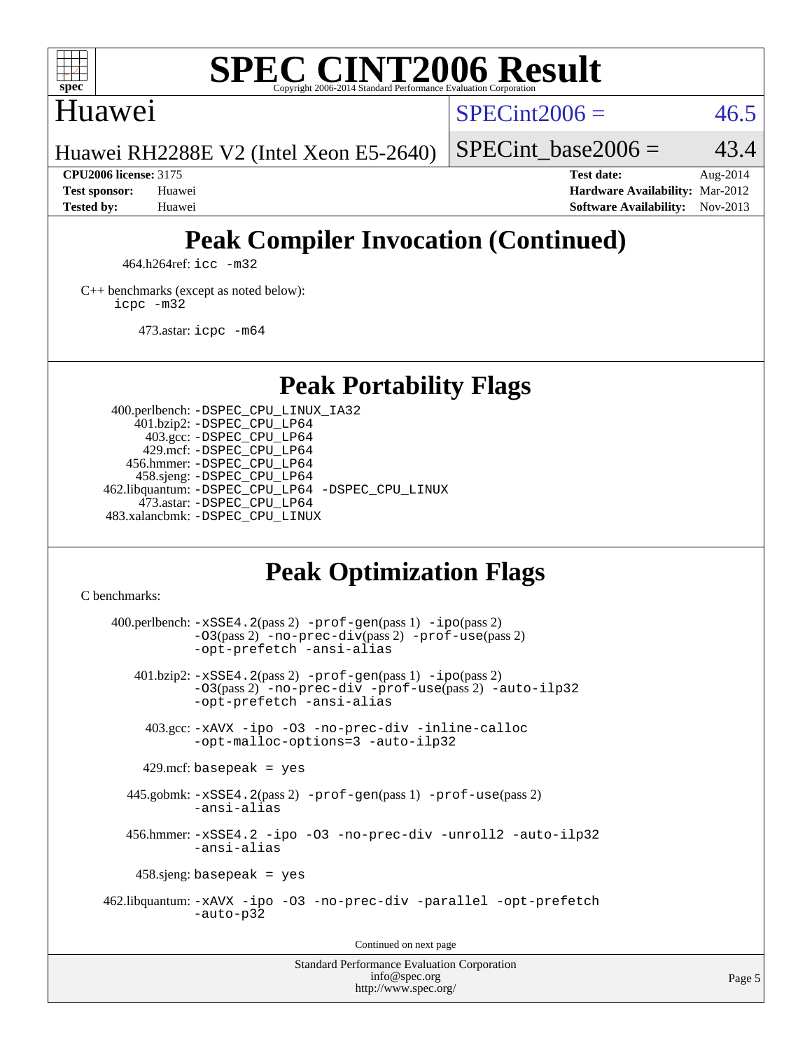

## Huawei

 $SPECint2006 = 46.5$  $SPECint2006 = 46.5$ 

Huawei RH2288E V2 (Intel Xeon E5-2640)

SPECint base2006 =  $43.4$ 

**[CPU2006 license:](http://www.spec.org/auto/cpu2006/Docs/result-fields.html#CPU2006license)** 3175 **[Test date:](http://www.spec.org/auto/cpu2006/Docs/result-fields.html#Testdate)** Aug-2014 **[Test sponsor:](http://www.spec.org/auto/cpu2006/Docs/result-fields.html#Testsponsor)** Huawei **[Hardware Availability:](http://www.spec.org/auto/cpu2006/Docs/result-fields.html#HardwareAvailability)** Mar-2012 **[Tested by:](http://www.spec.org/auto/cpu2006/Docs/result-fields.html#Testedby)** Huawei **[Software Availability:](http://www.spec.org/auto/cpu2006/Docs/result-fields.html#SoftwareAvailability)** Nov-2013

# **[Peak Compiler Invocation \(Continued\)](http://www.spec.org/auto/cpu2006/Docs/result-fields.html#PeakCompilerInvocation)**

464.h264ref: [icc -m32](http://www.spec.org/cpu2006/results/res2014q3/cpu2006-20140826-31037.flags.html#user_peakCCLD464_h264ref_intel_icc_a6a621f8d50482236b970c6ac5f55f93)

[C++ benchmarks \(except as noted below\):](http://www.spec.org/auto/cpu2006/Docs/result-fields.html#CXXbenchmarksexceptasnotedbelow) [icpc -m32](http://www.spec.org/cpu2006/results/res2014q3/cpu2006-20140826-31037.flags.html#user_CXXpeak_intel_icpc_4e5a5ef1a53fd332b3c49e69c3330699)

473.astar: [icpc -m64](http://www.spec.org/cpu2006/results/res2014q3/cpu2006-20140826-31037.flags.html#user_peakCXXLD473_astar_intel_icpc_64bit_fc66a5337ce925472a5c54ad6a0de310)

# **[Peak Portability Flags](http://www.spec.org/auto/cpu2006/Docs/result-fields.html#PeakPortabilityFlags)**

 400.perlbench: [-DSPEC\\_CPU\\_LINUX\\_IA32](http://www.spec.org/cpu2006/results/res2014q3/cpu2006-20140826-31037.flags.html#b400.perlbench_peakCPORTABILITY_DSPEC_CPU_LINUX_IA32) 401.bzip2: [-DSPEC\\_CPU\\_LP64](http://www.spec.org/cpu2006/results/res2014q3/cpu2006-20140826-31037.flags.html#suite_peakPORTABILITY401_bzip2_DSPEC_CPU_LP64) 403.gcc: [-DSPEC\\_CPU\\_LP64](http://www.spec.org/cpu2006/results/res2014q3/cpu2006-20140826-31037.flags.html#suite_peakPORTABILITY403_gcc_DSPEC_CPU_LP64) 429.mcf: [-DSPEC\\_CPU\\_LP64](http://www.spec.org/cpu2006/results/res2014q3/cpu2006-20140826-31037.flags.html#suite_peakPORTABILITY429_mcf_DSPEC_CPU_LP64) 456.hmmer: [-DSPEC\\_CPU\\_LP64](http://www.spec.org/cpu2006/results/res2014q3/cpu2006-20140826-31037.flags.html#suite_peakPORTABILITY456_hmmer_DSPEC_CPU_LP64) 458.sjeng: [-DSPEC\\_CPU\\_LP64](http://www.spec.org/cpu2006/results/res2014q3/cpu2006-20140826-31037.flags.html#suite_peakPORTABILITY458_sjeng_DSPEC_CPU_LP64) 462.libquantum: [-DSPEC\\_CPU\\_LP64](http://www.spec.org/cpu2006/results/res2014q3/cpu2006-20140826-31037.flags.html#suite_peakPORTABILITY462_libquantum_DSPEC_CPU_LP64) [-DSPEC\\_CPU\\_LINUX](http://www.spec.org/cpu2006/results/res2014q3/cpu2006-20140826-31037.flags.html#b462.libquantum_peakCPORTABILITY_DSPEC_CPU_LINUX) 473.astar: [-DSPEC\\_CPU\\_LP64](http://www.spec.org/cpu2006/results/res2014q3/cpu2006-20140826-31037.flags.html#suite_peakPORTABILITY473_astar_DSPEC_CPU_LP64) 483.xalancbmk: [-DSPEC\\_CPU\\_LINUX](http://www.spec.org/cpu2006/results/res2014q3/cpu2006-20140826-31037.flags.html#b483.xalancbmk_peakCXXPORTABILITY_DSPEC_CPU_LINUX)

# **[Peak Optimization Flags](http://www.spec.org/auto/cpu2006/Docs/result-fields.html#PeakOptimizationFlags)**

[C benchmarks](http://www.spec.org/auto/cpu2006/Docs/result-fields.html#Cbenchmarks):

 $400.$ perlbench:  $-xSSE4$ .  $2(pass 2)$  -prof-qen(pass 1) [-ipo](http://www.spec.org/cpu2006/results/res2014q3/cpu2006-20140826-31037.flags.html#user_peakPASS2_CFLAGSPASS2_LDCFLAGS400_perlbench_f-ipo)(pass 2) [-O3](http://www.spec.org/cpu2006/results/res2014q3/cpu2006-20140826-31037.flags.html#user_peakPASS2_CFLAGSPASS2_LDCFLAGS400_perlbench_f-O3)(pass 2) [-no-prec-div](http://www.spec.org/cpu2006/results/res2014q3/cpu2006-20140826-31037.flags.html#user_peakPASS2_CFLAGSPASS2_LDCFLAGS400_perlbench_f-no-prec-div)(pass 2) [-prof-use](http://www.spec.org/cpu2006/results/res2014q3/cpu2006-20140826-31037.flags.html#user_peakPASS2_CFLAGSPASS2_LDCFLAGS400_perlbench_prof_use_bccf7792157ff70d64e32fe3e1250b55)(pass 2) [-opt-prefetch](http://www.spec.org/cpu2006/results/res2014q3/cpu2006-20140826-31037.flags.html#user_peakCOPTIMIZE400_perlbench_f-opt-prefetch) [-ansi-alias](http://www.spec.org/cpu2006/results/res2014q3/cpu2006-20140826-31037.flags.html#user_peakCOPTIMIZE400_perlbench_f-ansi-alias) 401.bzip2: [-xSSE4.2](http://www.spec.org/cpu2006/results/res2014q3/cpu2006-20140826-31037.flags.html#user_peakPASS2_CFLAGSPASS2_LDCFLAGS401_bzip2_f-xSSE42_f91528193cf0b216347adb8b939d4107)(pass 2) [-prof-gen](http://www.spec.org/cpu2006/results/res2014q3/cpu2006-20140826-31037.flags.html#user_peakPASS1_CFLAGSPASS1_LDCFLAGS401_bzip2_prof_gen_e43856698f6ca7b7e442dfd80e94a8fc)(pass 1) [-ipo](http://www.spec.org/cpu2006/results/res2014q3/cpu2006-20140826-31037.flags.html#user_peakPASS2_CFLAGSPASS2_LDCFLAGS401_bzip2_f-ipo)(pass 2) [-O3](http://www.spec.org/cpu2006/results/res2014q3/cpu2006-20140826-31037.flags.html#user_peakPASS2_CFLAGSPASS2_LDCFLAGS401_bzip2_f-O3)(pass 2) [-no-prec-div](http://www.spec.org/cpu2006/results/res2014q3/cpu2006-20140826-31037.flags.html#user_peakCOPTIMIZEPASS2_CFLAGSPASS2_LDCFLAGS401_bzip2_f-no-prec-div) [-prof-use](http://www.spec.org/cpu2006/results/res2014q3/cpu2006-20140826-31037.flags.html#user_peakPASS2_CFLAGSPASS2_LDCFLAGS401_bzip2_prof_use_bccf7792157ff70d64e32fe3e1250b55)(pass 2) [-auto-ilp32](http://www.spec.org/cpu2006/results/res2014q3/cpu2006-20140826-31037.flags.html#user_peakCOPTIMIZE401_bzip2_f-auto-ilp32) [-opt-prefetch](http://www.spec.org/cpu2006/results/res2014q3/cpu2006-20140826-31037.flags.html#user_peakCOPTIMIZE401_bzip2_f-opt-prefetch) [-ansi-alias](http://www.spec.org/cpu2006/results/res2014q3/cpu2006-20140826-31037.flags.html#user_peakCOPTIMIZE401_bzip2_f-ansi-alias) 403.gcc: [-xAVX](http://www.spec.org/cpu2006/results/res2014q3/cpu2006-20140826-31037.flags.html#user_peakCOPTIMIZE403_gcc_f-xAVX) [-ipo](http://www.spec.org/cpu2006/results/res2014q3/cpu2006-20140826-31037.flags.html#user_peakCOPTIMIZE403_gcc_f-ipo) [-O3](http://www.spec.org/cpu2006/results/res2014q3/cpu2006-20140826-31037.flags.html#user_peakCOPTIMIZE403_gcc_f-O3) [-no-prec-div](http://www.spec.org/cpu2006/results/res2014q3/cpu2006-20140826-31037.flags.html#user_peakCOPTIMIZE403_gcc_f-no-prec-div) [-inline-calloc](http://www.spec.org/cpu2006/results/res2014q3/cpu2006-20140826-31037.flags.html#user_peakCOPTIMIZE403_gcc_f-inline-calloc) [-opt-malloc-options=3](http://www.spec.org/cpu2006/results/res2014q3/cpu2006-20140826-31037.flags.html#user_peakCOPTIMIZE403_gcc_f-opt-malloc-options_13ab9b803cf986b4ee62f0a5998c2238) [-auto-ilp32](http://www.spec.org/cpu2006/results/res2014q3/cpu2006-20140826-31037.flags.html#user_peakCOPTIMIZE403_gcc_f-auto-ilp32)  $429$ .mcf: basepeak = yes 445.gobmk: [-xSSE4.2](http://www.spec.org/cpu2006/results/res2014q3/cpu2006-20140826-31037.flags.html#user_peakPASS2_CFLAGSPASS2_LDCFLAGS445_gobmk_f-xSSE42_f91528193cf0b216347adb8b939d4107)(pass 2) [-prof-gen](http://www.spec.org/cpu2006/results/res2014q3/cpu2006-20140826-31037.flags.html#user_peakPASS1_CFLAGSPASS1_LDCFLAGS445_gobmk_prof_gen_e43856698f6ca7b7e442dfd80e94a8fc)(pass 1) [-prof-use](http://www.spec.org/cpu2006/results/res2014q3/cpu2006-20140826-31037.flags.html#user_peakPASS2_CFLAGSPASS2_LDCFLAGS445_gobmk_prof_use_bccf7792157ff70d64e32fe3e1250b55)(pass 2) [-ansi-alias](http://www.spec.org/cpu2006/results/res2014q3/cpu2006-20140826-31037.flags.html#user_peakCOPTIMIZE445_gobmk_f-ansi-alias) 456.hmmer: [-xSSE4.2](http://www.spec.org/cpu2006/results/res2014q3/cpu2006-20140826-31037.flags.html#user_peakCOPTIMIZE456_hmmer_f-xSSE42_f91528193cf0b216347adb8b939d4107) [-ipo](http://www.spec.org/cpu2006/results/res2014q3/cpu2006-20140826-31037.flags.html#user_peakCOPTIMIZE456_hmmer_f-ipo) [-O3](http://www.spec.org/cpu2006/results/res2014q3/cpu2006-20140826-31037.flags.html#user_peakCOPTIMIZE456_hmmer_f-O3) [-no-prec-div](http://www.spec.org/cpu2006/results/res2014q3/cpu2006-20140826-31037.flags.html#user_peakCOPTIMIZE456_hmmer_f-no-prec-div) [-unroll2](http://www.spec.org/cpu2006/results/res2014q3/cpu2006-20140826-31037.flags.html#user_peakCOPTIMIZE456_hmmer_f-unroll_784dae83bebfb236979b41d2422d7ec2) [-auto-ilp32](http://www.spec.org/cpu2006/results/res2014q3/cpu2006-20140826-31037.flags.html#user_peakCOPTIMIZE456_hmmer_f-auto-ilp32) [-ansi-alias](http://www.spec.org/cpu2006/results/res2014q3/cpu2006-20140826-31037.flags.html#user_peakCOPTIMIZE456_hmmer_f-ansi-alias) 458.sjeng: basepeak = yes 462.libquantum: [-xAVX](http://www.spec.org/cpu2006/results/res2014q3/cpu2006-20140826-31037.flags.html#user_peakCOPTIMIZE462_libquantum_f-xAVX) [-ipo](http://www.spec.org/cpu2006/results/res2014q3/cpu2006-20140826-31037.flags.html#user_peakCOPTIMIZE462_libquantum_f-ipo) [-O3](http://www.spec.org/cpu2006/results/res2014q3/cpu2006-20140826-31037.flags.html#user_peakCOPTIMIZE462_libquantum_f-O3) [-no-prec-div](http://www.spec.org/cpu2006/results/res2014q3/cpu2006-20140826-31037.flags.html#user_peakCOPTIMIZE462_libquantum_f-no-prec-div) [-parallel](http://www.spec.org/cpu2006/results/res2014q3/cpu2006-20140826-31037.flags.html#user_peakCOPTIMIZE462_libquantum_f-parallel) [-opt-prefetch](http://www.spec.org/cpu2006/results/res2014q3/cpu2006-20140826-31037.flags.html#user_peakCOPTIMIZE462_libquantum_f-opt-prefetch) [-auto-p32](http://www.spec.org/cpu2006/results/res2014q3/cpu2006-20140826-31037.flags.html#user_peakCOPTIMIZE462_libquantum_f-auto-p32) Continued on next page

Standard Performance Evaluation Corporation [info@spec.org](mailto:info@spec.org) <http://www.spec.org/>